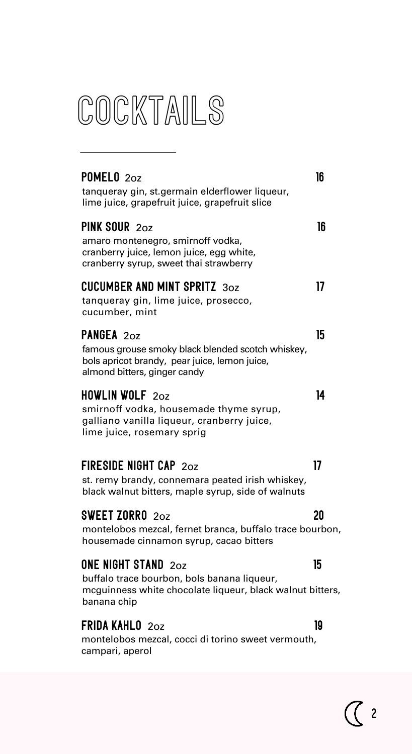## **COCKTAILS**

| POMELO <sub>20z</sub><br>tanqueray gin, st.germain elderflower liqueur,<br>lime juice, grapefruit juice, grapefruit slice                             | 16 |
|-------------------------------------------------------------------------------------------------------------------------------------------------------|----|
| PINK SOUR 202<br>amaro montenegro, smirnoff vodka,<br>cranberry juice, lemon juice, egg white,<br>cranberry syrup, sweet thai strawberry              | 16 |
| <b>CUCUMBER AND MINT SPRITZ 30Z</b><br>tanqueray gin, lime juice, prosecco,<br>cucumber, mint                                                         | 17 |
| PANGEA 20Z<br>famous grouse smoky black blended scotch whiskey,<br>bols apricot brandy, pear juice, lemon juice,<br>almond bitters, ginger candy      | 15 |
| <b>HOWLIN WOLF 20Z</b><br>smirnoff vodka, housemade thyme syrup,<br>galliano vanilla liqueur, cranberry juice,<br>lime juice, rosemary sprig          | 14 |
| <b>FIRESIDE NIGHT CAP 202</b><br>st. remy brandy, connemara peated irish whiskey,<br>black walnut bitters, maple syrup, side of walnuts               | 17 |
| SWEET ZORRO $20z$<br>montelobos mezcal, fernet branca, buffalo trace bourbon,<br>housemade cinnamon syrup, cacao bitters                              | 20 |
| <b>ONE NIGHT STAND 20Z</b><br>buffalo trace bourbon, bols banana liqueur,<br>mcguinness white chocolate liqueur, black walnut bitters,<br>banana chip | 15 |
| <b>FRIDA KAHLO 202</b><br>montelobos mezcal, cocci di torino sweet vermouth,<br>campari, aperol                                                       | 19 |

 $\mathbb{C}$  2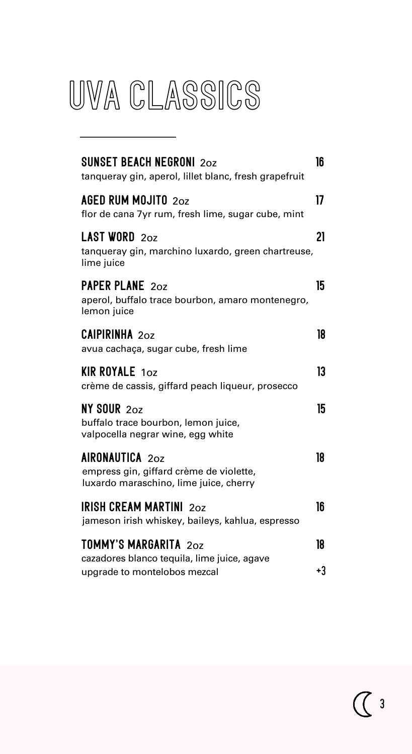## UVA CLASSICS

| <b>SUNSET BEACH NEGRONI 20Z</b><br>tanqueray gin, aperol, lillet blanc, fresh grapefruit                    | 16 |
|-------------------------------------------------------------------------------------------------------------|----|
| <b>AGED RUM MOJITO 20Z</b><br>flor de cana 7yr rum, fresh lime, sugar cube, mint                            | 17 |
| <b>LAST WORD 202</b><br>tanqueray gin, marchino luxardo, green chartreuse,<br>lime juice                    | 21 |
| <b>PAPER PLANE 202</b><br>aperol, buffalo trace bourbon, amaro montenegro,<br>lemon juice                   | 15 |
| <b>CAIPIRINHA 202</b><br>avua cachaça, sugar cube, fresh lime                                               | 18 |
| <b>KIR ROYALE 10Z</b><br>crème de cassis, giffard peach liqueur, prosecco                                   | 13 |
| $NY$ SOUR $2oz$<br>buffalo trace bourbon, lemon juice,<br>valpocella negrar wine, egg white                 | 15 |
| <b>AIRONAUTICA 202</b><br>empress gin, giffard crème de violette,<br>luxardo maraschino, lime juice, cherry | 18 |
| <b>IRISH CREAM MARTINI 202</b><br>jameson irish whiskey, baileys, kahlua, espresso                          | 16 |
| <b>TOMMY'S MARGARITA 20Z</b><br>cazadores blanco tequila, lime juice, agave                                 | 18 |
| upgrade to montelobos mezcal                                                                                | +3 |